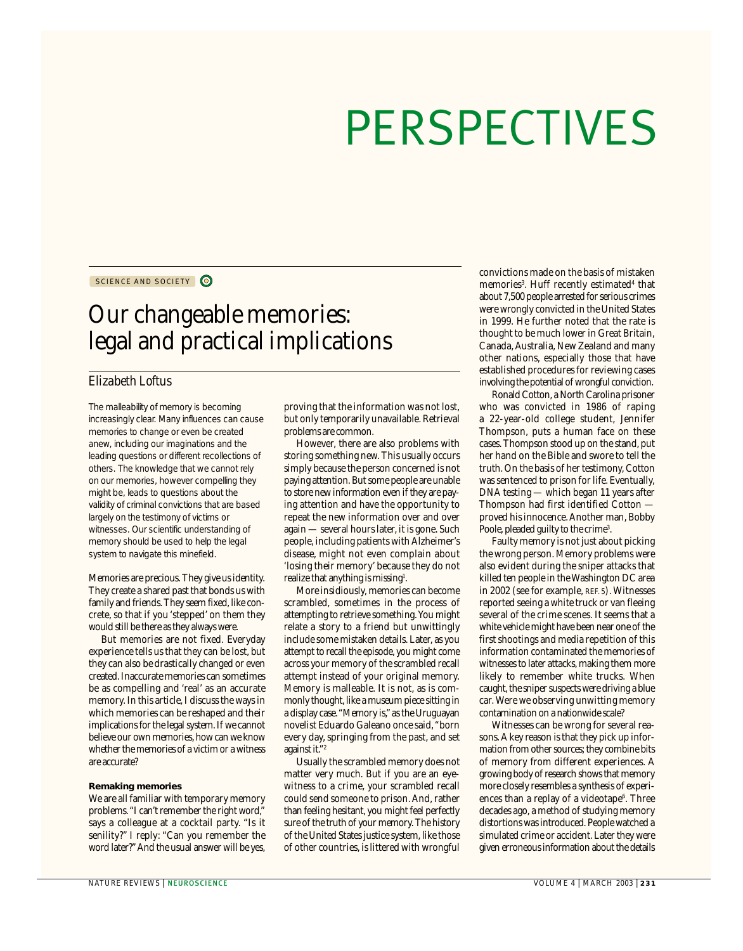## SCIENCE AND SOCIETY<sup>O</sup>

# Our changeable memories: legal and practical implications

# *Elizabeth Loftus*

The malleability of memory is becoming increasingly clear. Many influences can cause memories to change or even be created anew, including our imaginations and the leading questions or different recollections of others. The knowledge that we cannot rely on our memories, however compelling they might be, leads to questions about the validity of criminal convictions that are based largely on the testimony of victims or witnesses. Our scientific understanding of memory should be used to help the legal system to navigate this minefield.

Memories are precious. They give us identity. They create a shared past that bonds us with family and friends. They seem fixed, like concrete, so that if you 'stepped' on them they would still be there as they always were.

But memories are not fixed. Everyday experience tells us that they can be lost, but they can also be drastically changed or even created. Inaccurate memories can sometimes be as compelling and 'real' as an accurate memory. In this article, I discuss the ways in which memories can be reshaped and their implications for the legal system. If we cannot believe our own memories, how can we know whether the memories of a victim or a witness are accurate?

#### **Remaking memories**

We are all familiar with temporary memory problems."I can't remember the right word," says a colleague at a cocktail party. "Is it senility?" I reply: "Can you remember the word later?"And the usual answer will be yes,

proving that the information was not lost, but only temporarily unavailable. Retrieval problems are common.

However, there are also problems with storing something new. This usually occurs simply because the person concerned is not paying attention. But some people are unable to store new information even if they are paying attention and have the opportunity to repeat the new information over and over again — several hours later, it is gone. Such people, including patients with Alzheimer's disease, might not even complain about 'losing their memory' because they do not realize that anything is missing<sup>1</sup>.

More insidiously, memories can become scrambled, sometimes in the process of attempting to retrieve something. You might relate a story to a friend but unwittingly include some mistaken details. Later, as you attempt to recall the episode, you might come across your memory of the scrambled recall attempt instead of your original memory. Memory is malleable. It is not, as is commonly thought, like a museum piece sitting in a display case."Memory is,"as the Uruguayan novelist Eduardo Galeano once said,"born every day, springing from the past, and set against it."2

Usually the scrambled memory does not matter very much. But if you are an eyewitness to a crime, your scrambled recall could send someone to prison. And, rather than feeling hesitant, you might feel perfectly sure of the truth of your memory. The history of the United States justice system, like those of other countries, is littered with wrongful

convictions made on the basis of mistaken memories<sup>3</sup>. Huff recently estimated<sup>4</sup> that about 7,500 people arrested for serious crimes were wrongly convicted in the United States in 1999. He further noted that the rate is thought to be much lower in Great Britain, Canada, Australia, New Zealand and many other nations, especially those that have established procedures for reviewing cases involving the potential of wrongful conviction.

Ronald Cotton, a North Carolina prisoner who was convicted in 1986 of raping a 22-year-old college student, Jennifer Thompson, puts a human face on these cases. Thompson stood up on the stand, put her hand on the Bible and swore to tell the truth. On the basis of her testimony, Cotton was sentenced to prison for life. Eventually, DNA testing — which began 11 years after Thompson had first identified Cotton proved his innocence. Another man, Bobby Poole, pleaded guilty to the crime<sup>3</sup>.

Faulty memory is not just about picking the wrong person. Memory problems were also evident during the sniper attacks that killed ten people in the Washington DC area in 2002 (see for example, REF. 5). Witnesses reported seeing a white truck or van fleeing several of the crime scenes. It seems that a white vehicle might have been near one of the first shootings and media repetition of this information contaminated the memories of witnesses to later attacks, making them more likely to remember white trucks. When caught, the sniper suspects were driving a blue car. Were we observing unwitting memory contamination on a nationwide scale?

Witnesses can be wrong for several reasons. A key reason is that they pick up information from other sources; they combine bits of memory from different experiences. A growing body of research shows that memory more closely resembles a synthesis of experiences than a replay of a videotape<sup>6</sup>. Three decades ago, a method of studying memory distortions was introduced. People watched a simulated crime or accident. Later they were given erroneous information about the details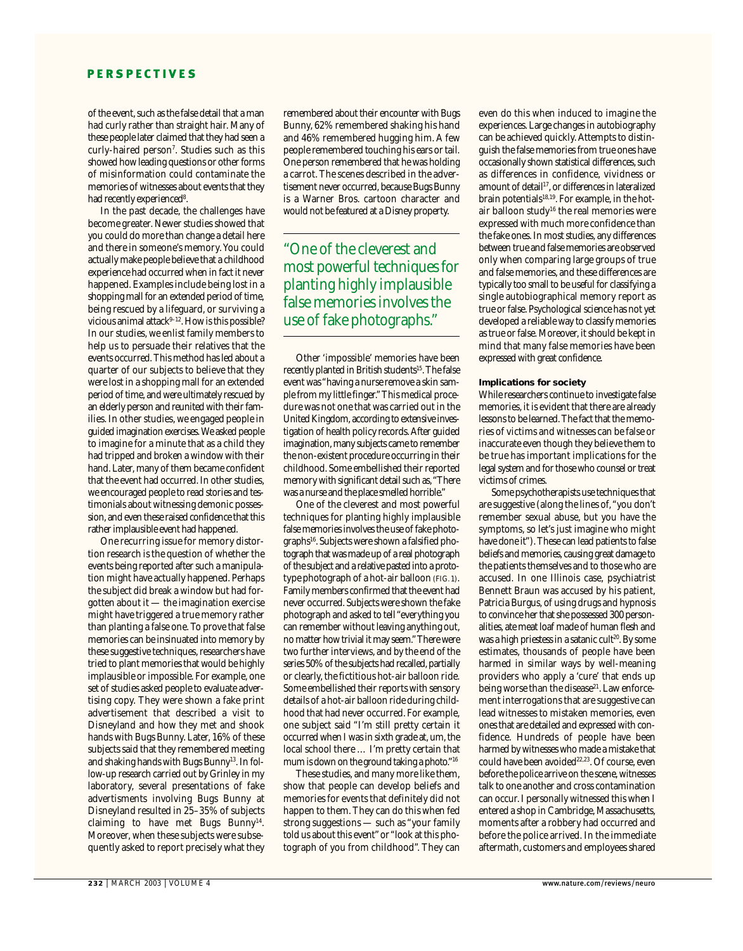of the event, such as the false detail that a man had curly rather than straight hair. Many of these people later claimed that they had seen a curly-haired person7 . Studies such as this showed how leading questions or other forms of misinformation could contaminate the memories of witnesses about events that they had recently experienced<sup>8</sup>.

In the past decade, the challenges have become greater. Newer studies showed that you could do more than change a detail here and there in someone's memory. You could actually make people believe that a childhood experience had occurred when in fact it never happened. Examples include being lost in a shopping mall for an extended period of time, being rescued by a lifeguard, or surviving a vicious animal attack $9-12$ . How is this possible? In our studies, we enlist family members to help us to persuade their relatives that the events occurred. This method has led about a quarter of our subjects to believe that they were lost in a shopping mall for an extended period of time, and were ultimately rescued by an elderly person and reunited with their families. In other studies, we engaged people in guided imagination exercises.We asked people to imagine for a minute that as a child they had tripped and broken a window with their hand. Later, many of them became confident that the event had occurred. In other studies, we encouraged people to read stories and testimonials about witnessing demonic possession, and even these raised confidence that this rather implausible event had happened.

One recurring issue for memory distortion research is the question of whether the events being reported after such a manipulation might have actually happened. Perhaps the subject did break a window but had forgotten about it — the imagination exercise might have triggered a true memory rather than planting a false one. To prove that false memories can be insinuated into memory by these suggestive techniques, researchers have tried to plant memories that would be highly implausible or impossible. For example, one set of studies asked people to evaluate advertising copy. They were shown a fake print advertisement that described a visit to Disneyland and how they met and shook hands with Bugs Bunny. Later, 16% of these subjects said that they remembered meeting and shaking hands with Bugs Bunny<sup>13</sup>. In follow-up research carried out by Grinley in my laboratory, several presentations of fake advertisments involving Bugs Bunny at Disneyland resulted in 25–35% of subjects claiming to have met Bugs Bunny14. Moreover, when these subjects were subsequently asked to report precisely what they

remembered about their encounter with Bugs Bunny, 62% remembered shaking his hand and 46% remembered hugging him. A few people remembered touching his ears or tail. One person remembered that he was holding a carrot. The scenes described in the advertisement never occurred, because Bugs Bunny is a Warner Bros. cartoon character and would not be featured at a Disney property.

# "One of the cleverest and most powerful techniques for planting highly implausible false memories involves the use of fake photographs."

Other 'impossible' memories have been recently planted in British students<sup>15</sup>. The false event was "having a nurse remove a skin sample from my little finger."This medical procedure was not one that was carried out in the United Kingdom, according to extensive investigation of health policy records. After guided imagination, many subjects came to remember the non-existent procedure occurring in their childhood. Some embellished their reported memory with significant detail such as,"There was a nurse and the place smelled horrible."

One of the cleverest and most powerful techniques for planting highly implausible false memories involves the use of fake photographs16. Subjects were shown a falsified photograph that was made up of a real photograph of the subject and a relative pasted into a prototype photograph of a hot-air balloon (FIG. 1). Family members confirmed that the event had never occurred. Subjects were shown the fake photograph and asked to tell "everything you can remember without leaving anything out, no matter how trivial it may seem."There were two further interviews, and by the end of the series 50% of the subjects had recalled, partially or clearly, the fictitious hot-air balloon ride. Some embellished their reports with sensory details of a hot-air balloon ride during childhood that had never occurred. For example, one subject said "I'm still pretty certain it occurred when I was in sixth grade at, um, the local school there … I'm pretty certain that mum is down on the ground taking a photo."16

These studies, and many more like them, show that people can develop beliefs and memories for events that definitely did not happen to them. They can do this when fed strong suggestions — such as "your family told us about this event" or "look at this photograph of you from childhood". They can even do this when induced to imagine the experiences. Large changes in autobiography can be achieved quickly. Attempts to distinguish the false memories from true ones have occasionally shown statistical differences, such as differences in confidence, vividness or amount of detail<sup>17</sup>, or differences in lateralized brain potentials<sup>18,19</sup>. For example, in the hotair balloon study<sup>16</sup> the real memories were expressed with much more confidence than the fake ones. In most studies, any differences between true and false memories are observed only when comparing large groups of true and false memories, and these differences are typically too small to be useful for classifying a single autobiographical memory report as true or false. Psychological science has not yet developed a reliable way to classify memories as true or false. Moreover, it should be kept in mind that many false memories have been expressed with great confidence.

#### **Implications for society**

While researchers continue to investigate false memories, it is evident that there are already lessons to be learned. The fact that the memories of victims and witnesses can be false or inaccurate even though they believe them to be true has important implications for the legal system and for those who counsel or treat victims of crimes.

Some psychotherapists use techniques that are suggestive (along the lines of,"you don't remember sexual abuse, but you have the symptoms, so let's just imagine who might have done it"). These can lead patients to false beliefs and memories, causing great damage to the patients themselves and to those who are accused. In one Illinois case, psychiatrist Bennett Braun was accused by his patient, Patricia Burgus, of using drugs and hypnosis to convince her that she possessed 300 personalities, ate meat loaf made of human flesh and was a high priestess in a satanic cult<sup>20</sup>. By some estimates, thousands of people have been harmed in similar ways by well-meaning providers who apply a 'cure' that ends up being worse than the disease<sup>21</sup>. Law enforcement interrogations that are suggestive can lead witnesses to mistaken memories, even ones that are detailed and expressed with confidence. Hundreds of people have been harmed by witnesses who made a mistake that could have been avoided<sup>22,23</sup>. Of course, even before the police arrive on the scene, witnesses talk to one another and cross contamination can occur. I personally witnessed this when I entered a shop in Cambridge, Massachusetts, moments after a robbery had occurred and before the police arrived. In the immediate aftermath, customers and employees shared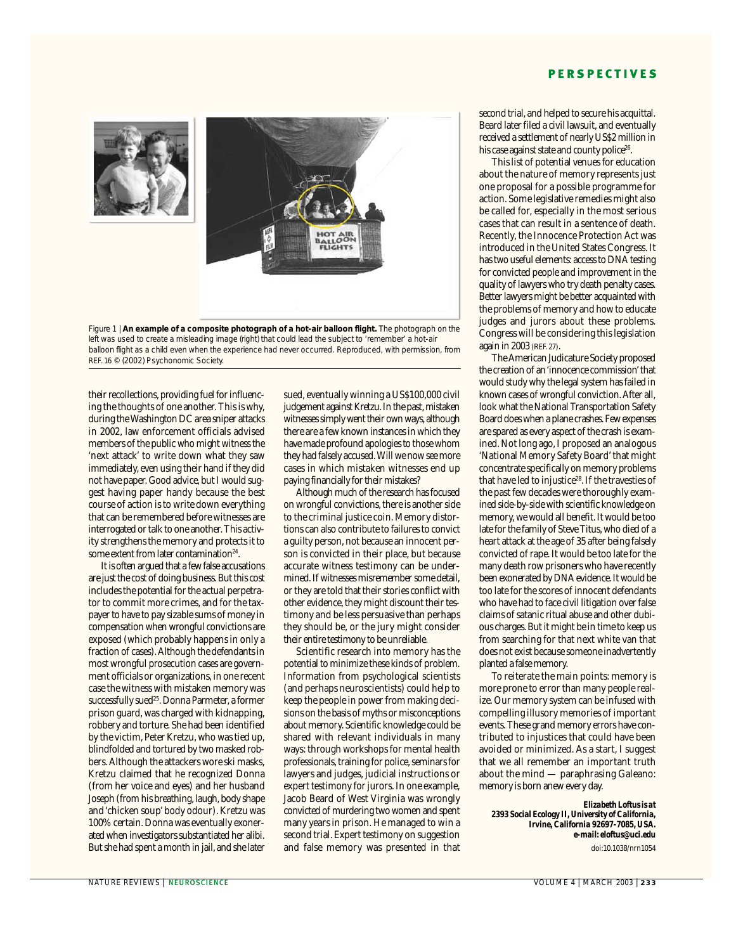

Figure 1 | **An example of a composite photograph of a hot-air balloon flight.** The photograph on the left was used to create a misleading image (right) that could lead the subject to 'remember' a hot-air balloon flight as a child even when the experience had never occurred. Reproduced, with permission, from REF. 16 © (2002) Psychonomic Society.

their recollections, providing fuel for influencing the thoughts of one another. This is why, during the Washington DC area sniper attacks in 2002, law enforcement officials advised members of the public who might witness the 'next attack' to write down what they saw immediately, even using their hand if they did not have paper. Good advice, but I would suggest having paper handy because the best course of action is to write down everything that can be remembered before witnesses are interrogated or talk to one another. This activity strengthens the memory and protects it to some extent from later contamination<sup>24</sup>.

It is often argued that a few false accusations are just the cost of doing business. But this cost includes the potential for the actual perpetrator to commit more crimes, and for the taxpayer to have to pay sizable sums of money in compensation when wrongful convictions are exposed (which probably happens in only a fraction of cases). Although the defendants in most wrongful prosecution cases are government officials or organizations, in one recent case the witness with mistaken memory was successfully sued<sup>25</sup>. Donna Parmeter, a former prison guard, was charged with kidnapping, robbery and torture. She had been identified by the victim, Peter Kretzu, who was tied up, blindfolded and tortured by two masked robbers. Although the attackers wore ski masks, Kretzu claimed that he recognized Donna (from her voice and eyes) and her husband Joseph (from his breathing, laugh, body shape and 'chicken soup' body odour). Kretzu was 100% certain. Donna was eventually exonerated when investigators substantiated her alibi. But she had spent a month in jail, and she later sued, eventually winning a US\$100,000 civil judgement against Kretzu. In the past, mistaken witnesses simply went their own ways, although there are a few known instances in which they have made profound apologies to those whom they had falsely accused.Will we now see more cases in which mistaken witnesses end up paying financially for their mistakes?

Although much of the research has focused on wrongful convictions, there is another side to the criminal justice coin. Memory distortions can also contribute to failures to convict a guilty person, not because an innocent person is convicted in their place, but because accurate witness testimony can be undermined. If witnesses misremember some detail, or they are told that their stories conflict with other evidence, they might discount their testimony and be less persuasive than perhaps they should be, or the jury might consider their entire testimony to be unreliable.

Scientific research into memory has the potential to minimize these kinds of problem. Information from psychological scientists (and perhaps neuroscientists) could help to keep the people in power from making decisions on the basis of myths or misconceptions about memory. Scientific knowledge could be shared with relevant individuals in many ways: through workshops for mental health professionals, training for police, seminars for lawyers and judges, judicial instructions or expert testimony for jurors. In one example, Jacob Beard of West Virginia was wrongly convicted of murdering two women and spent many years in prison. He managed to win a second trial. Expert testimony on suggestion and false memory was presented in that

second trial, and helped to secure his acquittal. Beard later filed a civil lawsuit, and eventually received a settlement of nearly US\$2 million in his case against state and county police<sup>26</sup>.

This list of potential venues for education about the nature of memory represents just one proposal for a possible programme for action. Some legislative remedies might also be called for, especially in the most serious cases that can result in a sentence of death. Recently, the Innocence Protection Act was introduced in the United States Congress. It has two useful elements: access to DNA testing for convicted people and improvement in the quality of lawyers who try death penalty cases. Better lawyers might be better acquainted with the problems of memory and how to educate judges and jurors about these problems. Congress will be considering this legislation again in 2003 (REF. 27).

The American Judicature Society proposed the creation of an 'innocence commission'that would study why the legal system has failed in known cases of wrongful conviction.After all, look what the National Transportation Safety Board does when a plane crashes. Few expenses are spared as every aspect of the crash is examined. Not long ago, I proposed an analogous 'National Memory Safety Board' that might concentrate specifically on memory problems that have led to injustice<sup>28</sup>. If the travesties of the past few decades were thoroughly examined side-by-side with scientific knowledge on memory, we would all benefit. It would be too late for the family of Steve Titus, who died of a heart attack at the age of 35 after being falsely convicted of rape. It would be too late for the many death row prisoners who have recently been exonerated by DNA evidence. It would be too late for the scores of innocent defendants who have had to face civil litigation over false claims of satanic ritual abuse and other dubious charges. But it might be in time to keep us from searching for that next white van that does not exist because someone inadvertently planted a false memory.

To reiterate the main points: memory is more prone to error than many people realize. Our memory system can be infused with compelling illusory memories of important events. These grand memory errors have contributed to injustices that could have been avoided or minimized. As a start, I suggest that we all remember an important truth about the mind — paraphrasing Galeano: memory is born anew every day.

*Elizabeth Loftus is at 2393 Social Ecology II, University of California, Irvine, California 92697-7085, USA. e-mail: eloftus@uci.edu* doi:10.1038/nrn1054